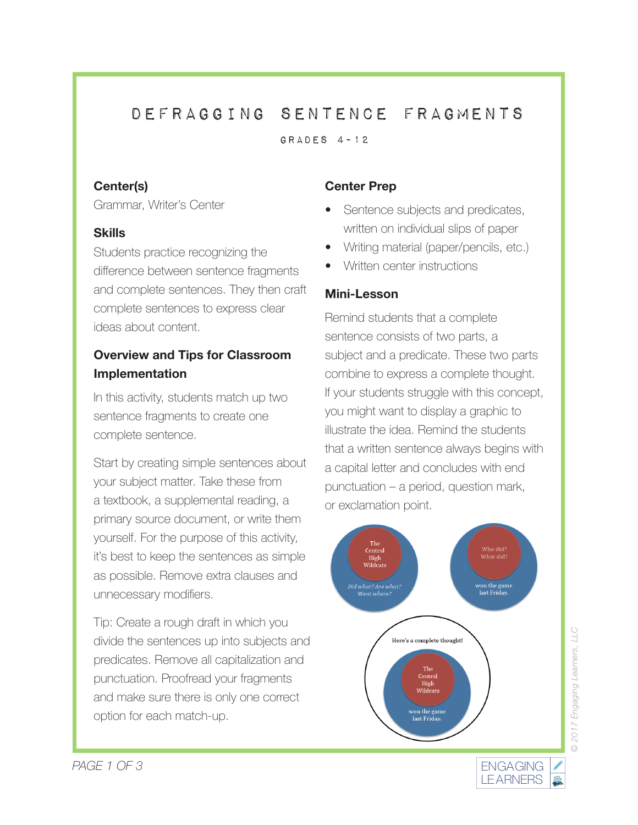## Defragging sentence fragments

GRADES  $4-12$ 

#### **Center(s)**

Grammar, Writer's Center

#### **Skills**

Students practice recognizing the difference between sentence fragments and complete sentences. They then craft complete sentences to express clear ideas about content.

## **Overview and Tips for Classroom Implementation**

In this activity, students match up two sentence fragments to create one complete sentence.

Start by creating simple sentences about your subject matter. Take these from a textbook, a supplemental reading, a primary source document, or write them yourself. For the purpose of this activity, it's best to keep the sentences as simple as possible. Remove extra clauses and unnecessary modifiers.

Tip: Create a rough draft in which you divide the sentences up into subjects and predicates. Remove all capitalization and punctuation. Proofread your fragments and make sure there is only one correct option for each match-up.

#### **Center Prep**

- Sentence subjects and predicates, written on individual slips of paper
- Writing material (paper/pencils, etc.)
- Written center instructions

#### **Mini-Lesson**

Remind students that a complete sentence consists of two parts, a subject and a predicate. These two parts combine to express a complete thought. If your students struggle with this concept, you might want to display a graphic to illustrate the idea. Remind the students that a written sentence always begins with a capital letter and concludes with end punctuation – a period, question mark, or exclamation point.



LEARNERS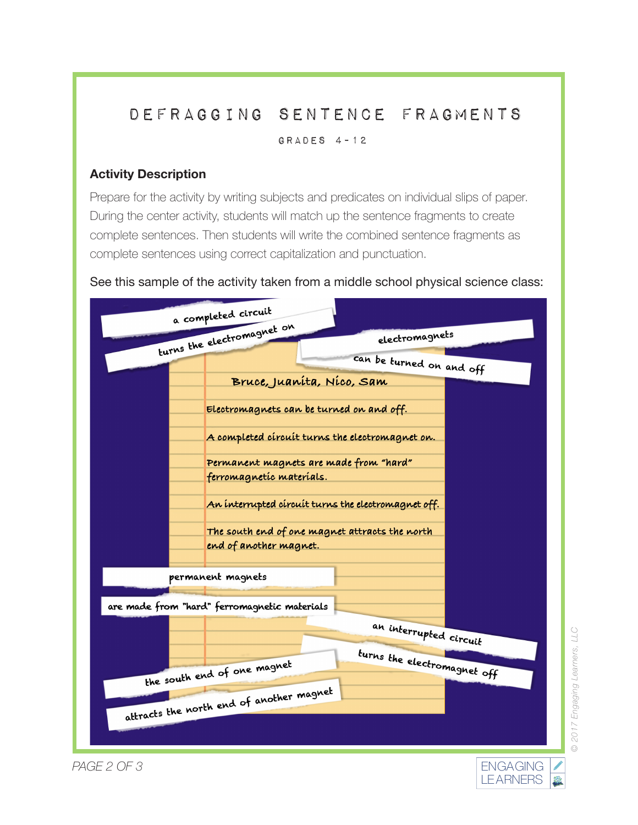# Defragging sentence fragments

Grades 4-12

## **Activity Description**

Prepare for the activity by writing subjects and predicates on individual slips of paper. During the center activity, students will match up the sentence fragments to create complete sentences. Then students will write the combined sentence fragments as complete sentences using correct capitalization and punctuation.





*© 2017 Engaging Learners, LLC*

2017 Engaging Learners, LLC

矗

ENGAGING **LEARNERS** 

*PAGE 2 OF 3*